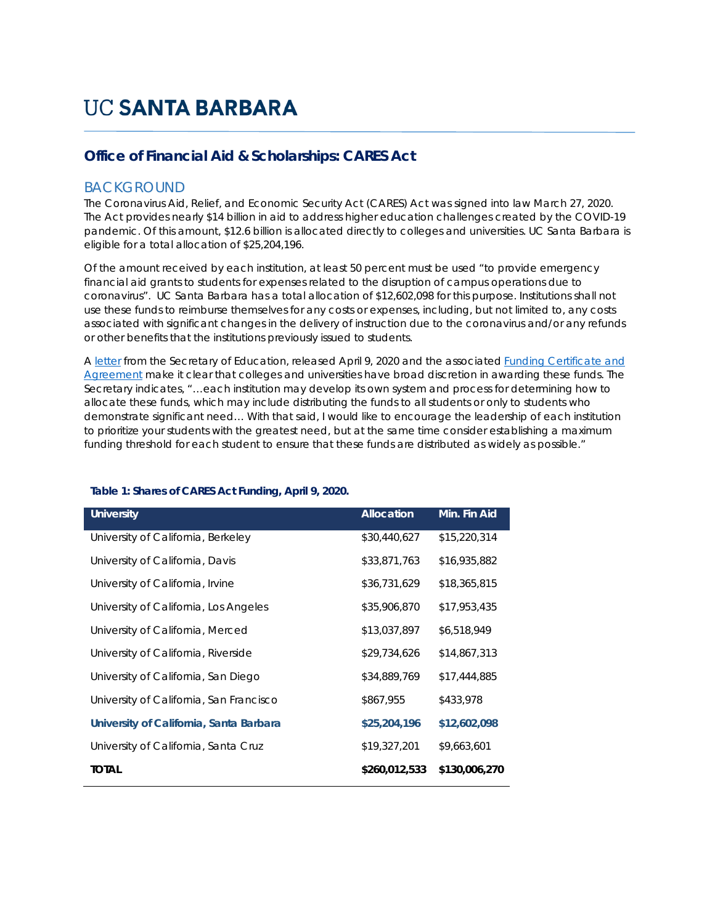# **UC SANTA BARBARA**

# **Office of Financial Aid & Scholarships: CARES Act**

# BACKGROUND

The Coronavirus Aid, Relief, and Economic Security Act (CARES) Act was signed into law March 27, 2020. The Act provides nearly \$14 billion in aid to address higher education challenges created by the COVID-19 pandemic. Of this amount, \$12.6 billion is allocated directly to colleges and universities. UC Santa Barbara is eligible for a total allocation of \$25,204,196.

Of the amount received by each institution, at least 50 percent must be used "to provide emergency financial aid grants to students for expenses related to the disruption of campus operations due to coronavirus". UC Santa Barbara has a total allocation of \$12,602,098 for this purpose. Institutions shall not use these funds to reimburse themselves for any costs or expenses, including, but not limited to, any costs associated with significant changes in the delivery of instruction due to the coronavirus and/or any refunds or other benefits that the institutions previously issued to students.

A letter from the Secretary of Education, released April 9, 2020 and the associated Funding Certificate and Agreement make it clear that colleges and universities have broad discretion in awarding these funds. The Secretary indicates, *"…each institution may develop its own system and process for determining how to allocate these funds, which may include distributing the funds to all students or only to students who demonstrate significant need… With that said, I would like to encourage the leadership of each institution to prioritize your students with the greatest need, but at the same time consider establishing a maximum funding threshold for each student to ensure that these funds are distributed as widely as possible."* 

| <b>University</b>                       | <b>Allocation</b> | Min. Fin Aid  |
|-----------------------------------------|-------------------|---------------|
| University of California, Berkeley      | \$30,440,627      | \$15,220,314  |
| University of California, Davis         | \$33,871,763      | \$16,935,882  |
| University of California, Irvine        | \$36,731,629      | \$18,365,815  |
| University of California, Los Angeles   | \$35,906,870      | \$17,953,435  |
| University of California, Merced        | \$13,037,897      | \$6,518,949   |
| University of California, Riverside     | \$29,734,626      | \$14,867,313  |
| University of California, San Diego     | \$34,889,769      | \$17,444,885  |
| University of California, San Francisco | \$867,955         | \$433,978     |
| University of California, Santa Barbara | \$25,204,196      | \$12,602,098  |
| University of California, Santa Cruz    | \$19,327,201      | \$9,663,601   |
| <b>TOTAL</b>                            | \$260,012,533     | \$130,006,270 |

## **Table 1: Shares of CARES Act Funding, April 9, 2020.**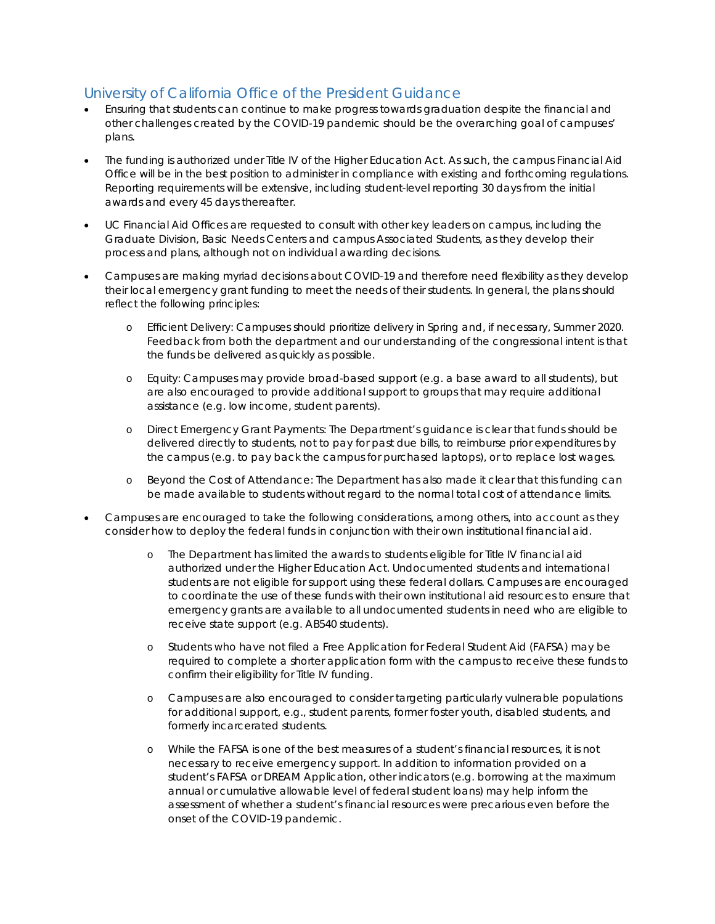# University of California Office of the President Guidance

- Ensuring that students can continue to make progress towards graduation despite the financial and other challenges created by the COVID-19 pandemic should be the overarching goal of campuses' plans.
- The funding is authorized under Title IV of the Higher Education Act. As such, the campus Financial Aid Office will be in the best position to administer in compliance with existing and forthcoming regulations. Reporting requirements will be extensive, including student-level reporting 30 days from the initial awards and every 45 days thereafter.
- UC Financial Aid Offices are requested to consult with other key leaders on campus, including the Graduate Division, Basic Needs Centers and campus Associated Students, as they develop their process and plans, although not on individual awarding decisions.
- Campuses are making myriad decisions about COVID-19 and therefore need flexibility as they develop their local emergency grant funding to meet the needs of their students. In general, the plans should reflect the following principles:
	- o Efficient Delivery: Campuses should prioritize delivery in Spring and, if necessary, Summer 2020. Feedback from both the department and our understanding of the congressional intent is that the funds be delivered as quickly as possible.
	- o Equity: Campuses may provide broad-based support (e.g. a base award to all students), but are also encouraged to provide additional support to groups that may require additional assistance (e.g. low income, student parents).
	- o Direct Emergency Grant Payments: The Department's guidance is clear that funds should be delivered directly to students, not to pay for past due bills, to reimburse prior expenditures by the campus (e.g. to pay back the campus for purchased laptops), or to replace lost wages.
	- o Beyond the Cost of Attendance: The Department has also made it clear that this funding can be made available to students without regard to the normal total cost of attendance limits.
- Campuses are encouraged to take the following considerations, among others, into account as they consider how to deploy the federal funds in conjunction with their own institutional financial aid.
	- o The Department has limited the awards to students eligible for Title IV financial aid authorized under the Higher Education Act. Undocumented students and international students are not eligible for support using these federal dollars. Campuses are encouraged to coordinate the use of these funds with their own institutional aid resources to ensure that emergency grants are available to all undocumented students in need who are eligible to receive state support (e.g. AB540 students).
	- o Students who have not filed a Free Application for Federal Student Aid (FAFSA) may be required to complete a shorter application form with the campus to receive these funds to confirm their eligibility for Title IV funding.
	- o Campuses are also encouraged to consider targeting particularly vulnerable populations for additional support, e.g., student parents, former foster youth, disabled students, and formerly incarcerated students.
	- o While the FAFSA is one of the best measures of a student's financial resources, it is not necessary to receive emergency support. In addition to information provided on a student's FAFSA or DREAM Application, other indicators (e.g. borrowing at the maximum annual or cumulative allowable level of federal student loans) may help inform the assessment of whether a student's financial resources were precarious even before the onset of the COVID-19 pandemic.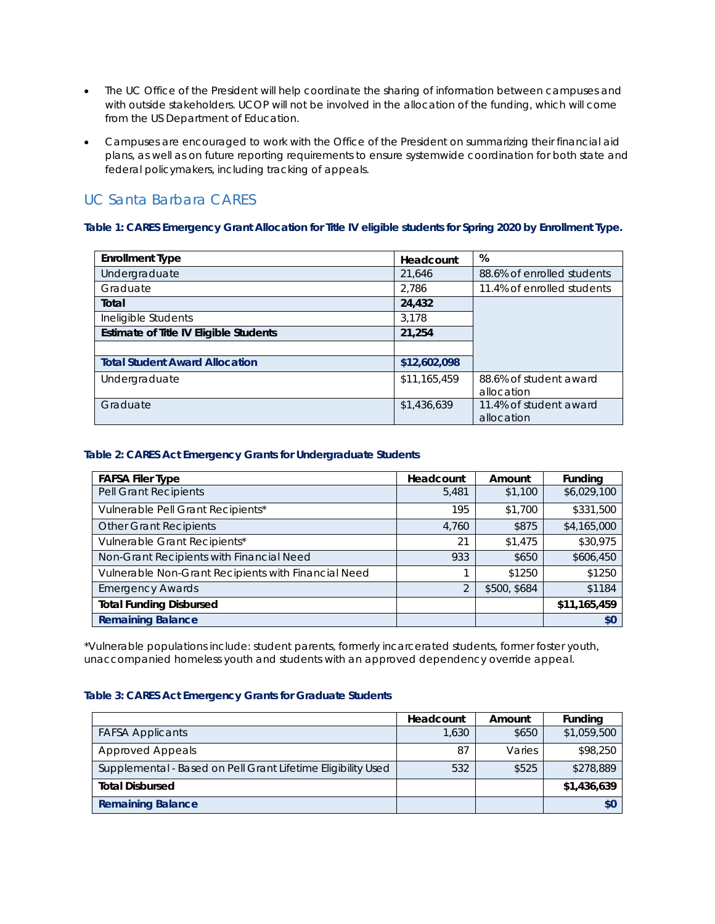- The UC Office of the President will help coordinate the sharing of information between campuses and with outside stakeholders. UCOP will not be involved in the allocation of the funding, which will come from the US Department of Education.
- Campuses are encouraged to work with the Office of the President on summarizing their financial aid plans, as well as on future reporting requirements to ensure systemwide coordination for both state and federal policymakers, including tracking of appeals.

# UC Santa Barbara CARES

## **Table 1: CARES Emergency Grant Allocation for Title IV eligible students for Spring 2020 by Enrollment Type.**

| <b>Enrollment Type</b>                 | Headcount    | %                                    |
|----------------------------------------|--------------|--------------------------------------|
| Undergraduate                          | 21,646       | 88.6% of enrolled students           |
| Graduate                               | 2.786        | 11.4% of enrolled students           |
| Total                                  | 24,432       |                                      |
| Ineligible Students                    | 3.178        |                                      |
| Estimate of Title IV Eligible Students | 21,254       |                                      |
|                                        |              |                                      |
| <b>Total Student Award Allocation</b>  | \$12,602,098 |                                      |
| Undergraduate                          | \$11,165,459 | 88.6% of student award<br>allocation |
| Graduate                               | \$1,436,639  | 11.4% of student award<br>allocation |

## **Table 2: CARES Act Emergency Grants for Undergraduate Students**

| <b>FAFSA Filer Type</b>                             | Headcount      | Amount       | <b>Funding</b> |
|-----------------------------------------------------|----------------|--------------|----------------|
| Pell Grant Recipients                               | 5,481          | \$1,100      | \$6,029,100    |
| Vulnerable Pell Grant Recipients*                   | 195            | \$1,700      | \$331,500      |
| <b>Other Grant Recipients</b>                       | 4,760          | \$875        | \$4,165,000    |
| Vulnerable Grant Recipients*                        | 21             | \$1,475      | \$30,975       |
| Non-Grant Recipients with Financial Need            | 933            | \$650        | \$606,450      |
| Vulnerable Non-Grant Recipients with Financial Need |                | \$1250       | \$1250         |
| <b>Emergency Awards</b>                             | $\overline{2}$ | \$500, \$684 | \$1184         |
| <b>Total Funding Disbursed</b>                      |                |              | \$11,165,459   |
| <b>Remaining Balance</b>                            |                |              | \$0            |

\*Vulnerable populations include: student parents, formerly incarcerated students, former foster youth, unaccompanied homeless youth and students with an approved dependency override appeal.

## **Table 3: CARES Act Emergency Grants for Graduate Students**

|                                                              | Headcount | Amount | <b>Funding</b> |
|--------------------------------------------------------------|-----------|--------|----------------|
| <b>FAFSA Applicants</b>                                      | 1.630     | \$650  | \$1,059,500    |
| <b>Approved Appeals</b>                                      | 87        | Varies | \$98,250       |
| Supplemental - Based on Pell Grant Lifetime Eligibility Used | 532       | \$525  | \$278,889      |
| <b>Total Disbursed</b>                                       |           |        | \$1,436,639    |
| <b>Remaining Balance</b>                                     |           |        |                |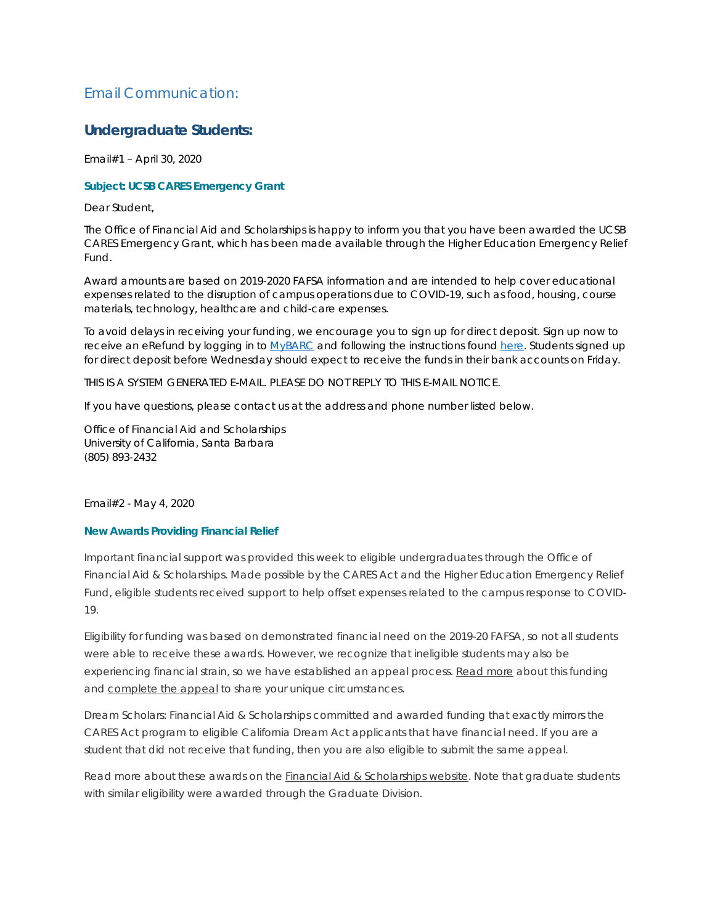# Email Communication:

# **Undergraduate Students:**

Email#1 – April 30, 2020

## **Subject: UCSB CARES Emergency Grant**

Dear Student,

The Office of Financial Aid and Scholarships is happy to inform you that you have been awarded the UCSB CARES Emergency Grant, which has been made available through the Higher Education Emergency Relief Fund.

Award amounts are based on 2019-2020 FAFSA information and are intended to help cover educational expenses related to the disruption of campus operations due to COVID-19, such as food, housing, course materials, technology, healthcare and child-care expenses.

To avoid delays in receiving your funding, we encourage you to sign up for direct deposit. Sign up now to receive an eRefund by logging in to MyBARC and following the instructions found here. Students signed up for direct deposit before Wednesday should expect to receive the funds in their bank accounts on Friday.

THIS IS A SYSTEM GENERATED E-MAIL. PLEASE DO NOT REPLY TO THIS E-MAIL NOTICE.

If you have questions, please contact us at the address and phone number listed below.

Office of Financial Aid and Scholarships University of California, Santa Barbara (805) 893-2432

Email#2 - May 4, 2020

## **New Awards Providing Financial Relief**

Important financial support was provided this week to eligible undergraduates through the Office of Financial Aid & Scholarships. Made possible by the CARES Act and the Higher Education Emergency Relief Fund, eligible students received support to help offset expenses related to the campus response to COVID-19.

Eligibility for funding was based on demonstrated financial need on the 2019-20 FAFSA, so not all students were able to receive these awards. However, we recognize that ineligible students may also be experiencing financial strain, so we have established an appeal process. Read more about this funding and complete the appeal to share your unique circumstances.

Dream Scholars: Financial Aid & Scholarships committed and awarded funding that exactly mirrors the CARES Act program to eligible California Dream Act applicants that have financial need. If you are a student that did not receive that funding, then you are also eligible to submit the same appeal.

Read more about these awards on the **Financial Aid & Scholarships website**. Note that graduate students with similar eligibility were awarded through the Graduate Division.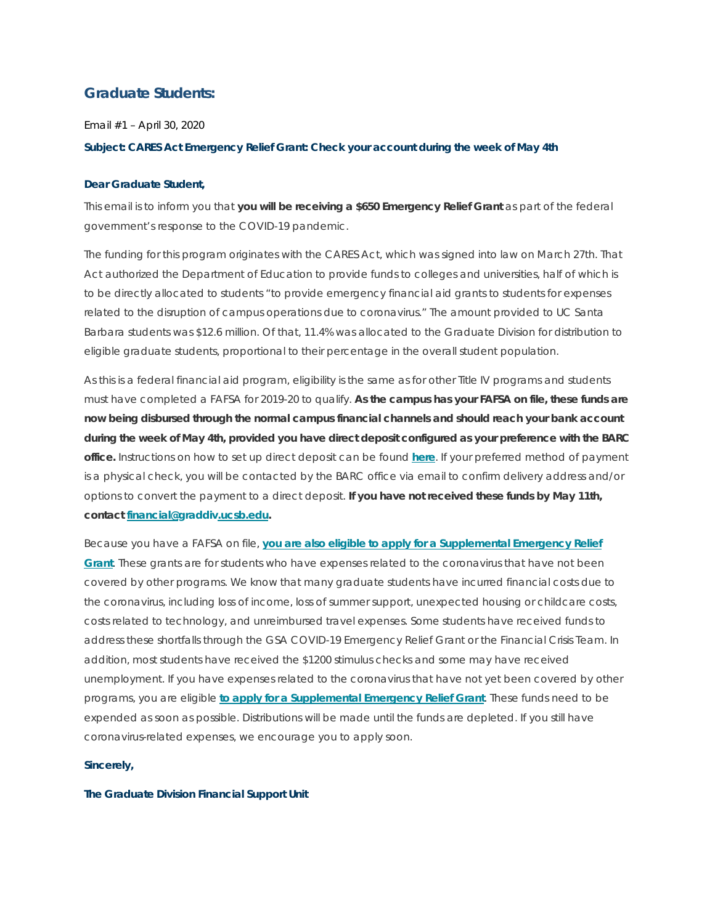# **Graduate Students:**

Email #1 – April 30, 2020

### **Subject: CARES Act Emergency Relief Grant: Check your account during the week of May 4th**

#### **Dear Graduate Student,**

This email is to inform you that **you will be receiving a \$650 Emergency Relief Grant** as part of the federal government's response to the COVID-19 pandemic.

The funding for this program originates with the CARES Act, which was signed into law on March 27th. That Act authorized the Department of Education to provide funds to colleges and universities, half of which is to be directly allocated to students "to provide emergency financial aid grants to students for expenses related to the disruption of campus operations due to coronavirus." The amount provided to UC Santa Barbara students was \$12.6 million. Of that, 11.4% was allocated to the Graduate Division for distribution to eligible graduate students, proportional to their percentage in the overall student population.

As this is a federal financial aid program, eligibility is the same as for other Title IV programs and students must have completed a FAFSA for 2019-20 to qualify. **As the campus has your FAFSA on file, these funds are now being disbursed through the normal campus financial channels and should reach your bank account during the week of May 4th, provided you have direct deposit configured as your preference with the BARC office.** Instructions on how to set up direct deposit can be found **here**. If your preferred method of payment is a physical check, you will be contacted by the BARC office via email to confirm delivery address and/or options to convert the payment to a direct deposit. **If you have not received these funds by May 11th, contact financial@graddiv.ucsb.edu.**

Because you have a FAFSA on file, **you are also eligible to apply for a Supplemental Emergency Relief Grant**. These grants are for students who have expenses related to the coronavirus that have not been covered by other programs. We know that many graduate students have incurred financial costs due to the coronavirus, including loss of income, loss of summer support, unexpected housing or childcare costs, costs related to technology, and unreimbursed travel expenses. Some students have received funds to address these shortfalls through the GSA COVID-19 Emergency Relief Grant or the Financial Crisis Team. In addition, most students have received the \$1200 stimulus checks and some may have received unemployment. If you have expenses related to the coronavirus that have not yet been covered by other programs, you are eligible **to apply for a Supplemental Emergency Relief Grant**. These funds need to be expended as soon as possible. Distributions will be made until the funds are depleted. If you still have coronavirus-related expenses, we encourage you to apply soon.

#### **Sincerely,**

#### **The Graduate Division Financial Support Unit**